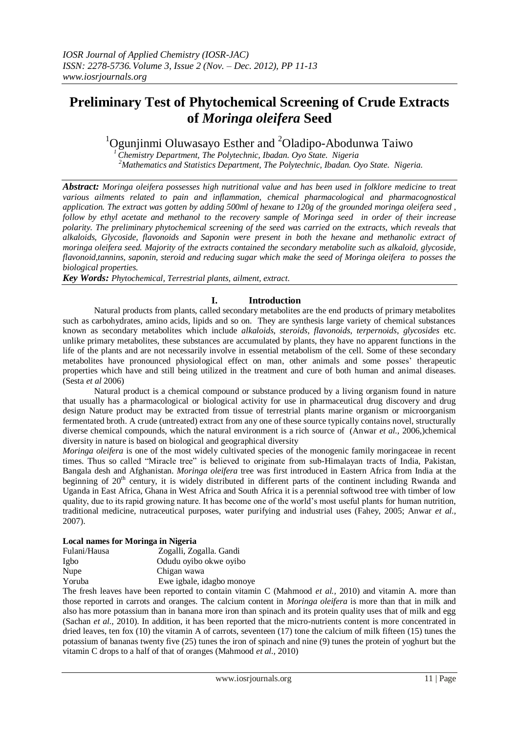# **Preliminary Test of Phytochemical Screening of Crude Extracts of** *Moringa oleifera* **Seed**

# $1$ Ogunjinmi Oluwasayo Esther and  $2$ Oladipo-Abodunwa Taiwo

*<sup>1</sup>Chemistry Department, The Polytechnic, Ibadan. Oyo State. Nigeria <sup>2</sup>Mathematics and Statistics Department, The Polytechnic, Ibadan. Oyo State. Nigeria.*

*Abstract: Moringa oleifera possesses high nutritional value and has been used in folklore medicine to treat various ailments related to pain and inflammation, chemical pharmacological and pharmacognostical application. The extract was gotten by adding 500ml of hexane to 120g of the grounded moringa oleifera seed , follow by ethyl acetate and methanol to the recovery sample of Moringa seed in order of their increase polarity. The preliminary phytochemical screening of the seed was carried on the extracts, which reveals that alkaloids, Glycoside, flavonoids and Saponin were present in both the hexane and methanolic extract of moringa oleifera seed. Majority of the extracts contained the secondary metabolite such as alkaloid, glycoside, flavonoid,tannins, saponin, steroid and reducing sugar which make the seed of Moringa oleifera to posses the biological properties.*

*Key Words: Phytochemical, Terrestrial plants, ailment, extract.*

# **I. Introduction**

Natural products from plants, called secondary metabolites are the end products of primary metabolites such as carbohydrates, amino acids, lipids and so on. They are synthesis large variety of chemical substances known as secondary metabolites which include *alkaloids*, *steroids*, *flavonoids*, *terpernoids*, *glycosides* etc. unlike primary metabolites, these substances are accumulated by plants, they have no apparent functions in the life of the plants and are not necessarily involve in essential metabolism of the cell. Some of these secondary metabolites have pronounced physiological effect on man, other animals and some posses' therapeutic properties which have and still being utilized in the treatment and cure of both human and animal diseases. (Sesta *et al* 2006)

Natural product is a chemical compound or substance produced by a living organism found in nature that usually has a pharmacological or biological activity for use in pharmaceutical drug discovery and drug design Nature product may be extracted from tissue of terrestrial plants marine organism or microorganism fermentated broth. A crude (untreated) extract from any one of these source typically contains novel, structurally diverse chemical compounds, which the natural environment is a rich source of (Anwar *et al.,* 2006*,*)chemical diversity in nature is based on biological and geographical diversity

*Moringa oleifera* is one of the most widely cultivated species of the monogenic family moringaceae in recent times. Thus so called "Miracle tree" is believed to originate from sub-Himalayan tracts of India, Pakistan, Bangala desh and Afghanistan. *Moringa oleifera* tree was first introduced in Eastern Africa from India at the beginning of 20<sup>th</sup> century, it is widely distributed in different parts of the continent including Rwanda and Uganda in East Africa, Ghana in West Africa and South Africa it is a perennial softwood tree with timber of low quality, due to its rapid growing nature. It has become one of the world's most useful plants for human nutrition, traditional medicine, nutraceutical purposes, water purifying and industrial uses (Fahey, 2005; Anwar *et al.,* 2007).

# **Local names for Moringa in Nigeria**

| Fulani/Hausa | Zogalli, Zogalla. Gandi   |
|--------------|---------------------------|
| Igbo         | Odudu oyibo okwe oyibo    |
| Nupe         | Chigan wawa               |
| Yoruba       | Ewe igbale, idagbo monoye |
|              |                           |

The fresh leaves have been reported to contain vitamin C (Mahmood *et al.,* 2010) and vitamin A. more than those reported in carrots and oranges. The calcium content in *Moringa oleifera* is more than that in milk and also has more potassium than in banana more iron than spinach and its protein quality uses that of milk and egg (Sachan *et al.,* 2010). In addition, it has been reported that the micro-nutrients content is more concentrated in dried leaves, ten fox (10) the vitamin A of carrots, seventeen (17) tone the calcium of milk fifteen (15) tunes the potassium of bananas twenty five (25) tunes the iron of spinach and nine (9) tunes the protein of yoghurt but the vitamin C drops to a half of that of oranges (Mahmood *et al.,* 2010)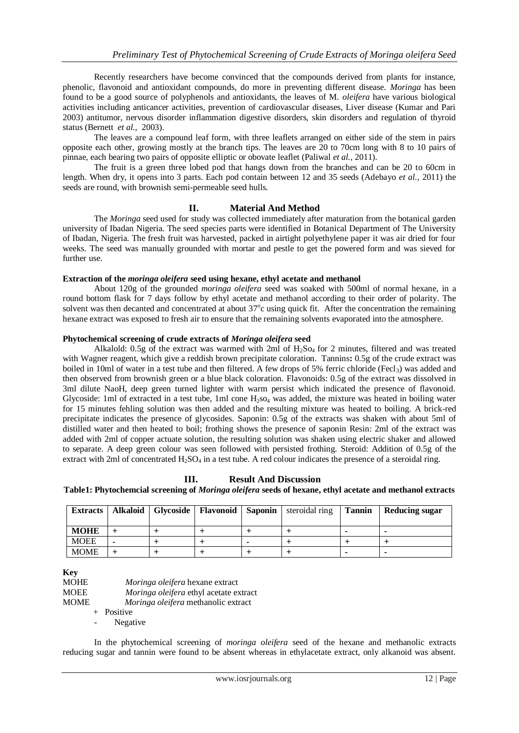Recently researchers have become convinced that the compounds derived from plants for instance, phenolic, flavonoid and antioxidant compounds, do more in preventing different disease. *Moringa* has been found to be a good source of polyphenols and antioxidants, the leaves of M. *oleifera* have various biological activities including anticancer activities, prevention of cardiovascular diseases, Liver disease (Kumar and Pari 2003) antitumor, nervous disorder inflammation digestive disorders, skin disorders and regulation of thyroid status (Bernett *et al.,* 2003).

The leaves are a compound leaf form, with three leaflets arranged on either side of the stem in pairs opposite each other, growing mostly at the branch tips. The leaves are 20 to 70cm long with 8 to 10 pairs of pinnae, each bearing two pairs of opposite elliptic or obovate leaflet (Paliwal *et al.,* 2011).

The fruit is a green three lobed pod that hangs down from the branches and can be 20 to 60cm in length. When dry, it opens into 3 parts. Each pod contain between 12 and 35 seeds (Adebayo *et al.,* 2011) the seeds are round, with brownish semi-permeable seed hulls.

## **II. Material And Method**

The *Moringa* seed used for study was collected immediately after maturation from the botanical garden university of Ibadan Nigeria. The seed species parts were identified in Botanical Department of The University of Ibadan, Nigeria. The fresh fruit was harvested, packed in airtight polyethylene paper it was air dried for four weeks. The seed was manually grounded with mortar and pestle to get the powered form and was sieved for further use.

### **Extraction of the** *moringa oleifera* **seed using hexane, ethyl acetate and methanol**

About 120g of the grounded *moringa oleifera* seed was soaked with 500ml of normal hexane, in a round bottom flask for 7 days follow by ethyl acetate and methanol according to their order of polarity. The solvent was then decanted and concentrated at about 37°c using quick fit. After the concentration the remaining hexane extract was exposed to fresh air to ensure that the remaining solvents evaporated into the atmosphere.

#### **Phytochemical screening of crude extracts of** *Moringa oleifera* **seed**

Alkalold: 0.5g of the extract was warmed with 2ml of  $H_2S_{04}$  for 2 minutes, filtered and was treated with Wagner reagent, which give a reddish brown precipitate coloration. Tannins**:** 0.5g of the crude extract was boiled in 10ml of water in a test tube and then filtered. A few drops of 5% ferric chloride (Fecl<sub>3</sub>) was added and then observed from brownish green or a blue black coloration. Flavonoids: 0.5g of the extract was dissolved in 3ml dilute NaoH, deep green turned lighter with warm persist which indicated the presence of flavonoid. Glycoside: 1ml of extracted in a test tube, 1ml cone  $H_2$ so<sub>4</sub> was added, the mixture was heated in boiling water for 15 minutes fehling solution was then added and the resulting mixture was heated to boiling. A brick-red precipitate indicates the presence of glycosides. Saponin: 0.5g of the extracts was shaken with about 5ml of distilled water and then heated to boil; frothing shows the presence of saponin Resin: 2ml of the extract was added with 2ml of copper actuate solution, the resulting solution was shaken using electric shaker and allowed to separate. A deep green colour was seen followed with persisted frothing. Steroid: Addition of 0.5g of the extract with 2ml of concentrated  $H_2SO_4$  in a test tube. A red colour indicates the presence of a steroidal ring.

### **III. Result And Discussion**

**Table1: Phytochemcial screening of** *Moringa oleifera* **seeds of hexane, ethyl acetate and methanol extracts**

| <b>Extracts</b> |  | Alkaloid   Glycoside   Flavonoid   Saponin | steroidal ring | <b>Tannin</b> | Reducing sugar |
|-----------------|--|--------------------------------------------|----------------|---------------|----------------|
| <b>MOHE</b>     |  |                                            |                |               |                |
| <b>MOEE</b>     |  |                                            |                |               |                |
| <b>MOME</b>     |  |                                            |                |               |                |

**Key**

| MOHE | <i>Moringa oleifera</i> hexane extract        |
|------|-----------------------------------------------|
| MOEE | <i>Moringa oleifera</i> ethyl acetate extract |
| MOME | <i>Moringa oleifera</i> methanolic extract    |
|      | + Positive                                    |
|      |                                               |

Negative

In the phytochemical screening of *moringa oleifera* seed of the hexane and methanolic extracts reducing sugar and tannin were found to be absent whereas in ethylacetate extract, only alkanoid was absent.